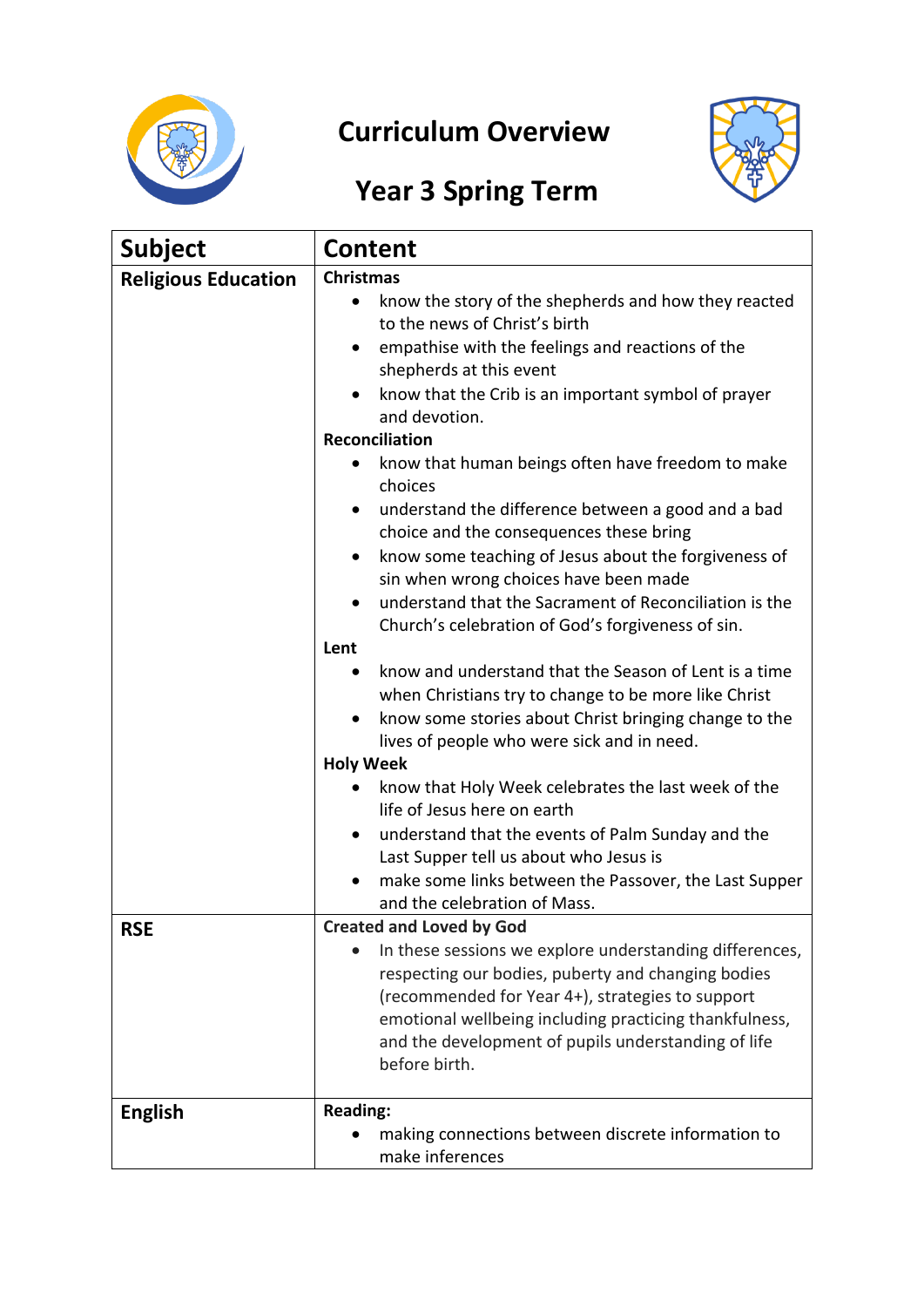

## **Curriculum Overview**



## **Year 3 Spring Term**

| <b>Subject</b>             | <b>Content</b>                                                                                                                                                                                                                                                                                                                                                                                                                                                                                                                                                                                                                                                                                                                                                                                                                                                                               |
|----------------------------|----------------------------------------------------------------------------------------------------------------------------------------------------------------------------------------------------------------------------------------------------------------------------------------------------------------------------------------------------------------------------------------------------------------------------------------------------------------------------------------------------------------------------------------------------------------------------------------------------------------------------------------------------------------------------------------------------------------------------------------------------------------------------------------------------------------------------------------------------------------------------------------------|
| <b>Religious Education</b> | <b>Christmas</b><br>know the story of the shepherds and how they reacted<br>$\bullet$<br>to the news of Christ's birth<br>empathise with the feelings and reactions of the<br>shepherds at this event<br>know that the Crib is an important symbol of prayer<br>and devotion.<br><b>Reconciliation</b>                                                                                                                                                                                                                                                                                                                                                                                                                                                                                                                                                                                       |
|                            | know that human beings often have freedom to make<br>choices<br>understand the difference between a good and a bad<br>choice and the consequences these bring<br>know some teaching of Jesus about the forgiveness of<br>sin when wrong choices have been made<br>understand that the Sacrament of Reconciliation is the<br>Church's celebration of God's forgiveness of sin.<br>Lent<br>know and understand that the Season of Lent is a time<br>when Christians try to change to be more like Christ<br>know some stories about Christ bringing change to the<br>$\bullet$<br>lives of people who were sick and in need.<br><b>Holy Week</b><br>know that Holy Week celebrates the last week of the<br>life of Jesus here on earth<br>understand that the events of Palm Sunday and the<br>Last Supper tell us about who Jesus is<br>make some links between the Passover, the Last Supper |
| <b>RSE</b>                 | and the celebration of Mass.<br><b>Created and Loved by God</b><br>In these sessions we explore understanding differences,<br>respecting our bodies, puberty and changing bodies<br>(recommended for Year 4+), strategies to support<br>emotional wellbeing including practicing thankfulness,<br>and the development of pupils understanding of life<br>before birth.                                                                                                                                                                                                                                                                                                                                                                                                                                                                                                                       |
| <b>English</b>             | <b>Reading:</b><br>making connections between discrete information to<br>make inferences                                                                                                                                                                                                                                                                                                                                                                                                                                                                                                                                                                                                                                                                                                                                                                                                     |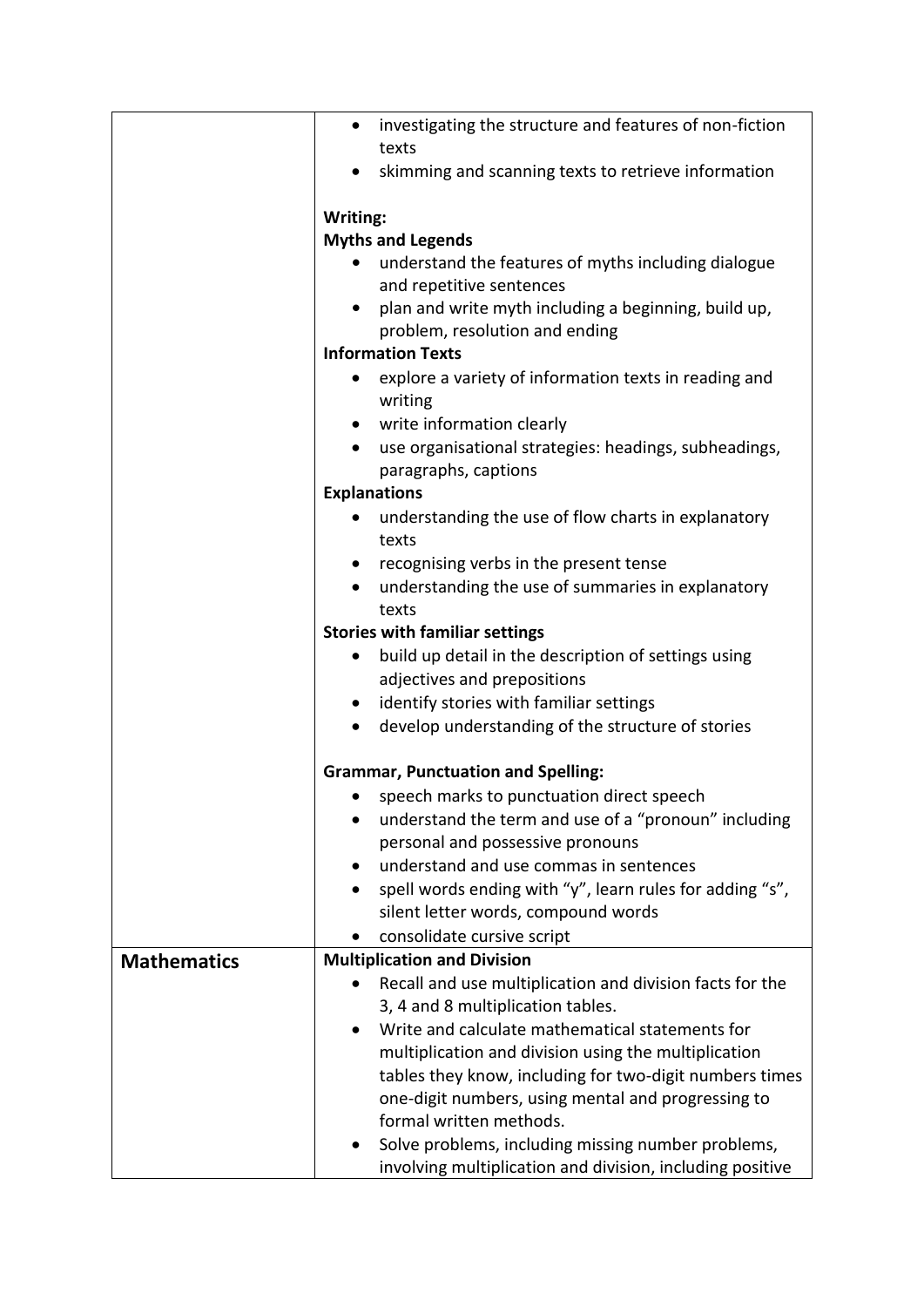|                    | investigating the structure and features of non-fiction<br>$\bullet$<br>texts |
|--------------------|-------------------------------------------------------------------------------|
|                    | skimming and scanning texts to retrieve information                           |
|                    | Writing:                                                                      |
|                    | <b>Myths and Legends</b>                                                      |
|                    | understand the features of myths including dialogue                           |
|                    | and repetitive sentences                                                      |
|                    | plan and write myth including a beginning, build up,<br>$\bullet$             |
|                    | problem, resolution and ending                                                |
|                    | <b>Information Texts</b>                                                      |
|                    |                                                                               |
|                    | explore a variety of information texts in reading and<br>writing              |
|                    | write information clearly                                                     |
|                    | use organisational strategies: headings, subheadings,<br>paragraphs, captions |
|                    | <b>Explanations</b>                                                           |
|                    | understanding the use of flow charts in explanatory                           |
|                    | texts                                                                         |
|                    | recognising verbs in the present tense                                        |
|                    | understanding the use of summaries in explanatory                             |
|                    | texts                                                                         |
|                    | <b>Stories with familiar settings</b>                                         |
|                    | build up detail in the description of settings using                          |
|                    | adjectives and prepositions                                                   |
|                    | identify stories with familiar settings<br>$\bullet$                          |
|                    | develop understanding of the structure of stories<br>$\bullet$                |
|                    |                                                                               |
|                    | <b>Grammar, Punctuation and Spelling:</b>                                     |
|                    | speech marks to punctuation direct speech                                     |
|                    | understand the term and use of a "pronoun" including                          |
|                    | personal and possessive pronouns                                              |
|                    | understand and use commas in sentences                                        |
|                    | spell words ending with "y", learn rules for adding "s",                      |
|                    | silent letter words, compound words                                           |
|                    | consolidate cursive script                                                    |
| <b>Mathematics</b> | <b>Multiplication and Division</b>                                            |
|                    | Recall and use multiplication and division facts for the                      |
|                    | 3, 4 and 8 multiplication tables.                                             |
|                    | Write and calculate mathematical statements for                               |
|                    | multiplication and division using the multiplication                          |
|                    | tables they know, including for two-digit numbers times                       |
|                    | one-digit numbers, using mental and progressing to                            |
|                    | formal written methods.                                                       |
|                    | Solve problems, including missing number problems,<br>$\bullet$               |
|                    | involving multiplication and division, including positive                     |
|                    |                                                                               |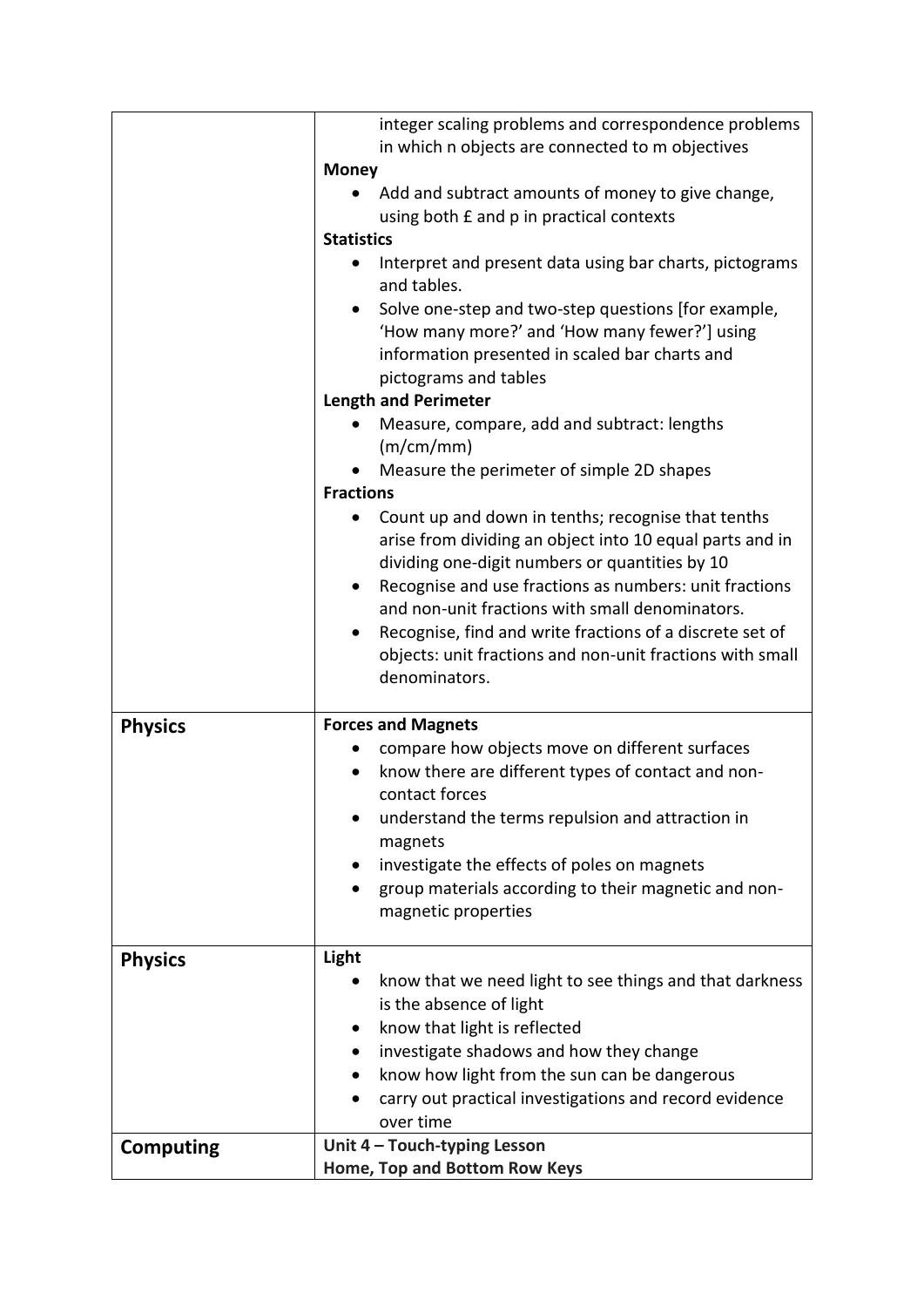|                  | integer scaling problems and correspondence problems                   |
|------------------|------------------------------------------------------------------------|
|                  |                                                                        |
|                  | in which n objects are connected to m objectives                       |
|                  | <b>Money</b>                                                           |
|                  | Add and subtract amounts of money to give change,                      |
|                  | using both £ and p in practical contexts                               |
|                  | <b>Statistics</b>                                                      |
|                  | Interpret and present data using bar charts, pictograms<br>and tables. |
|                  | Solve one-step and two-step questions [for example,<br>$\bullet$       |
|                  | 'How many more?' and 'How many fewer?'] using                          |
|                  | information presented in scaled bar charts and                         |
|                  | pictograms and tables                                                  |
|                  | <b>Length and Perimeter</b>                                            |
|                  |                                                                        |
|                  | Measure, compare, add and subtract: lengths<br>(m/cm/mm)               |
|                  | Measure the perimeter of simple 2D shapes                              |
|                  | <b>Fractions</b>                                                       |
|                  | Count up and down in tenths; recognise that tenths                     |
|                  | arise from dividing an object into 10 equal parts and in               |
|                  | dividing one-digit numbers or quantities by 10                         |
|                  | Recognise and use fractions as numbers: unit fractions<br>$\bullet$    |
|                  | and non-unit fractions with small denominators.                        |
|                  | Recognise, find and write fractions of a discrete set of<br>$\bullet$  |
|                  | objects: unit fractions and non-unit fractions with small              |
|                  | denominators.                                                          |
|                  |                                                                        |
|                  | <b>Forces and Magnets</b>                                              |
| <b>Physics</b>   | compare how objects move on different surfaces                         |
|                  |                                                                        |
|                  | know there are different types of contact and non-<br>contact forces   |
|                  |                                                                        |
|                  | understand the terms repulsion and attraction in                       |
|                  |                                                                        |
|                  | magnets                                                                |
|                  | investigate the effects of poles on magnets                            |
|                  | group materials according to their magnetic and non-                   |
|                  | magnetic properties                                                    |
|                  |                                                                        |
| <b>Physics</b>   | Light                                                                  |
|                  | know that we need light to see things and that darkness<br>$\bullet$   |
|                  | is the absence of light                                                |
|                  | know that light is reflected<br>$\bullet$                              |
|                  | investigate shadows and how they change<br>$\bullet$                   |
|                  | know how light from the sun can be dangerous                           |
|                  | carry out practical investigations and record evidence                 |
|                  | over time                                                              |
| <b>Computing</b> | Unit 4 - Touch-typing Lesson<br>Home, Top and Bottom Row Keys          |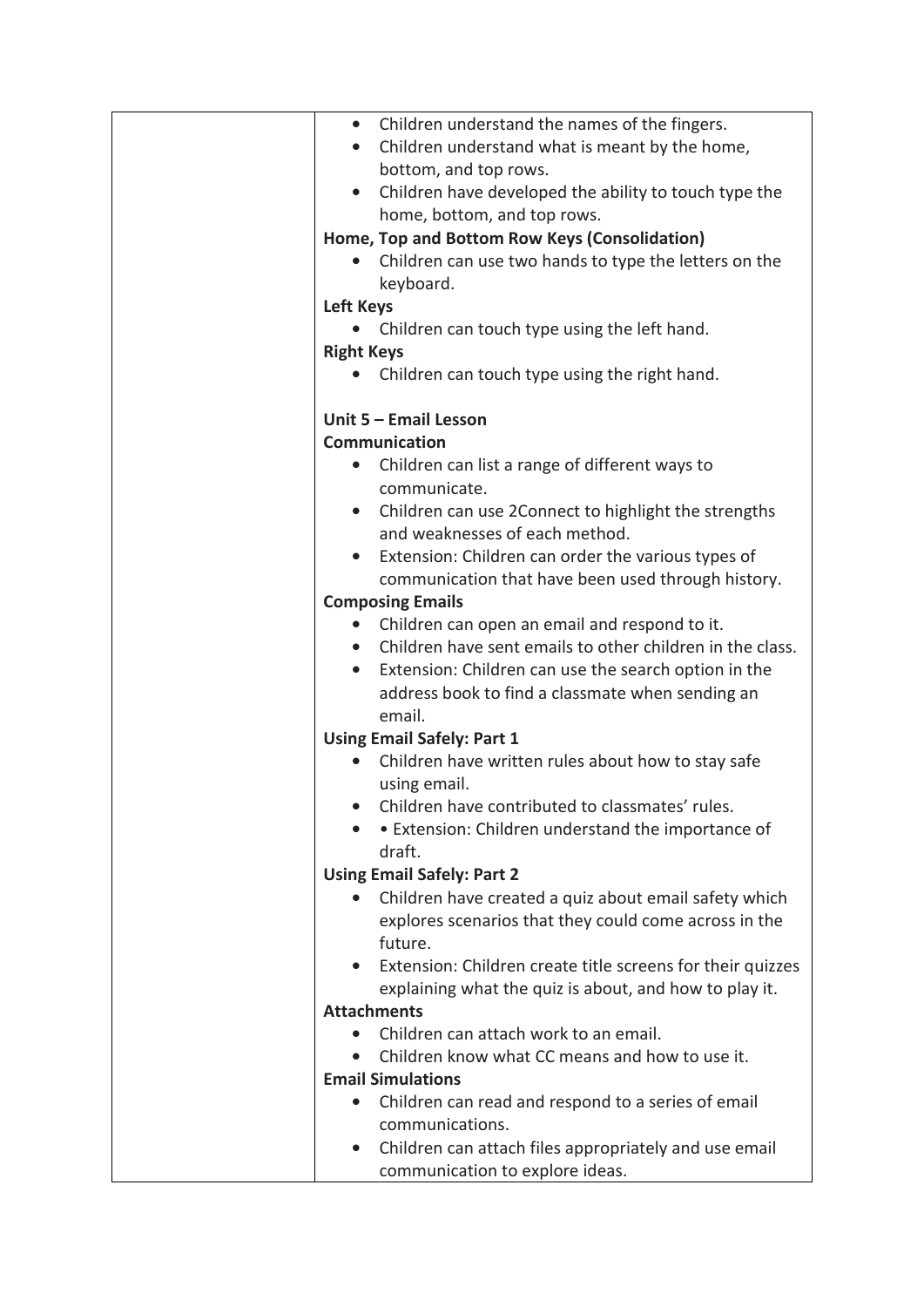| • Children understand the names of the fingers.                        |
|------------------------------------------------------------------------|
| Children understand what is meant by the home,<br>$\bullet$            |
| bottom, and top rows.                                                  |
| Children have developed the ability to touch type the                  |
| home, bottom, and top rows.                                            |
| Home, Top and Bottom Row Keys (Consolidation)                          |
| Children can use two hands to type the letters on the                  |
| keyboard.                                                              |
| <b>Left Keys</b>                                                       |
| Children can touch type using the left hand.                           |
| <b>Right Keys</b>                                                      |
|                                                                        |
| Children can touch type using the right hand.                          |
| Unit 5 - Email Lesson                                                  |
| <b>Communication</b>                                                   |
|                                                                        |
| Children can list a range of different ways to                         |
| communicate.                                                           |
| Children can use 2Connect to highlight the strengths<br>$\bullet$      |
| and weaknesses of each method.                                         |
| Extension: Children can order the various types of                     |
| communication that have been used through history.                     |
| <b>Composing Emails</b>                                                |
| Children can open an email and respond to it.<br>$\bullet$             |
| Children have sent emails to other children in the class.<br>$\bullet$ |
| Extension: Children can use the search option in the<br>$\bullet$      |
| address book to find a classmate when sending an                       |
| email.                                                                 |
| <b>Using Email Safely: Part 1</b>                                      |
| Children have written rules about how to stay safe                     |
| using email.                                                           |
| Children have contributed to classmates' rules.                        |
| • Extension: Children understand the importance of                     |
| draft.                                                                 |
| <b>Using Email Safely: Part 2</b>                                      |
| Children have created a quiz about email safety which                  |
| explores scenarios that they could come across in the                  |
| future.                                                                |
| Extension: Children create title screens for their quizzes             |
| explaining what the quiz is about, and how to play it.                 |
| <b>Attachments</b>                                                     |
| Children can attach work to an email.                                  |
| Children know what CC means and how to use it.                         |
| <b>Email Simulations</b>                                               |
|                                                                        |
| Children can read and respond to a series of email                     |
| communications.                                                        |
| Children can attach files appropriately and use email                  |
| communication to explore ideas.                                        |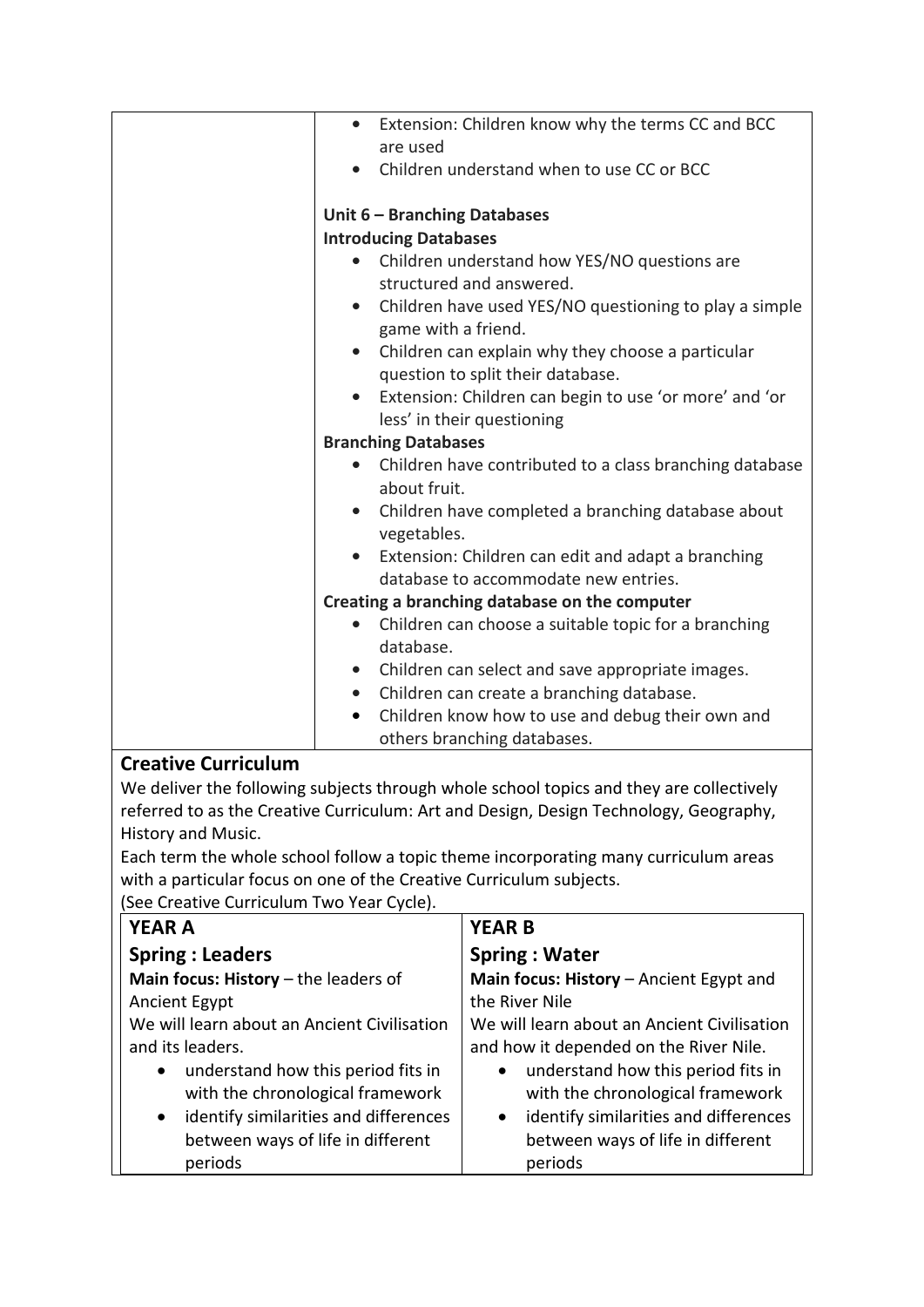|                            | Extension: Children know why the terms CC and BCC<br>are used                              |
|----------------------------|--------------------------------------------------------------------------------------------|
|                            | Children understand when to use CC or BCC                                                  |
|                            | Unit 6 - Branching Databases                                                               |
|                            | <b>Introducing Databases</b>                                                               |
|                            | Children understand how YES/NO questions are                                               |
|                            | structured and answered.                                                                   |
|                            | Children have used YES/NO questioning to play a simple<br>$\bullet$<br>game with a friend. |
|                            | • Children can explain why they choose a particular                                        |
|                            | question to split their database.                                                          |
|                            | Extension: Children can begin to use 'or more' and 'or<br>$\bullet$                        |
|                            | less' in their questioning                                                                 |
|                            | <b>Branching Databases</b>                                                                 |
|                            | Children have contributed to a class branching database                                    |
|                            | about fruit.                                                                               |
|                            | • Children have completed a branching database about<br>vegetables.                        |
|                            | Extension: Children can edit and adapt a branching                                         |
|                            | database to accommodate new entries.                                                       |
|                            | Creating a branching database on the computer                                              |
|                            | Children can choose a suitable topic for a branching                                       |
|                            | database.                                                                                  |
|                            | • Children can select and save appropriate images.                                         |
|                            | • Children can create a branching database.                                                |
|                            | Children know how to use and debug their own and<br>$\bullet$                              |
|                            | others branching databases.                                                                |
| <b>Creative Curriculum</b> |                                                                                            |

We deliver the following subjects through whole school topics and they are collectively referred to as the Creative Curriculum: Art and Design, Design Technology, Geography, History and Music.

Each term the whole school follow a topic theme incorporating many curriculum areas with a particular focus on one of the Creative Curriculum subjects.

(See Creative Curriculum Two Year Cycle).

| <b>YEAR A</b>                                                                                                                                                                                                                                                | <b>YEAR B</b>                                                                                                                                                                                                                                                                      |
|--------------------------------------------------------------------------------------------------------------------------------------------------------------------------------------------------------------------------------------------------------------|------------------------------------------------------------------------------------------------------------------------------------------------------------------------------------------------------------------------------------------------------------------------------------|
| <b>Spring: Leaders</b>                                                                                                                                                                                                                                       | <b>Spring: Water</b>                                                                                                                                                                                                                                                               |
| Main focus: History $-$ the leaders of                                                                                                                                                                                                                       | Main focus: History - Ancient Egypt and                                                                                                                                                                                                                                            |
| Ancient Egypt                                                                                                                                                                                                                                                | the River Nile                                                                                                                                                                                                                                                                     |
| We will learn about an Ancient Civilisation<br>and its leaders.<br>understand how this period fits in<br>$\bullet$<br>with the chronological framework<br>identify similarities and differences<br>$\bullet$<br>between ways of life in different<br>periods | We will learn about an Ancient Civilisation<br>and how it depended on the River Nile.<br>understand how this period fits in<br>$\bullet$<br>with the chronological framework<br>identify similarities and differences<br>$\bullet$<br>between ways of life in different<br>periods |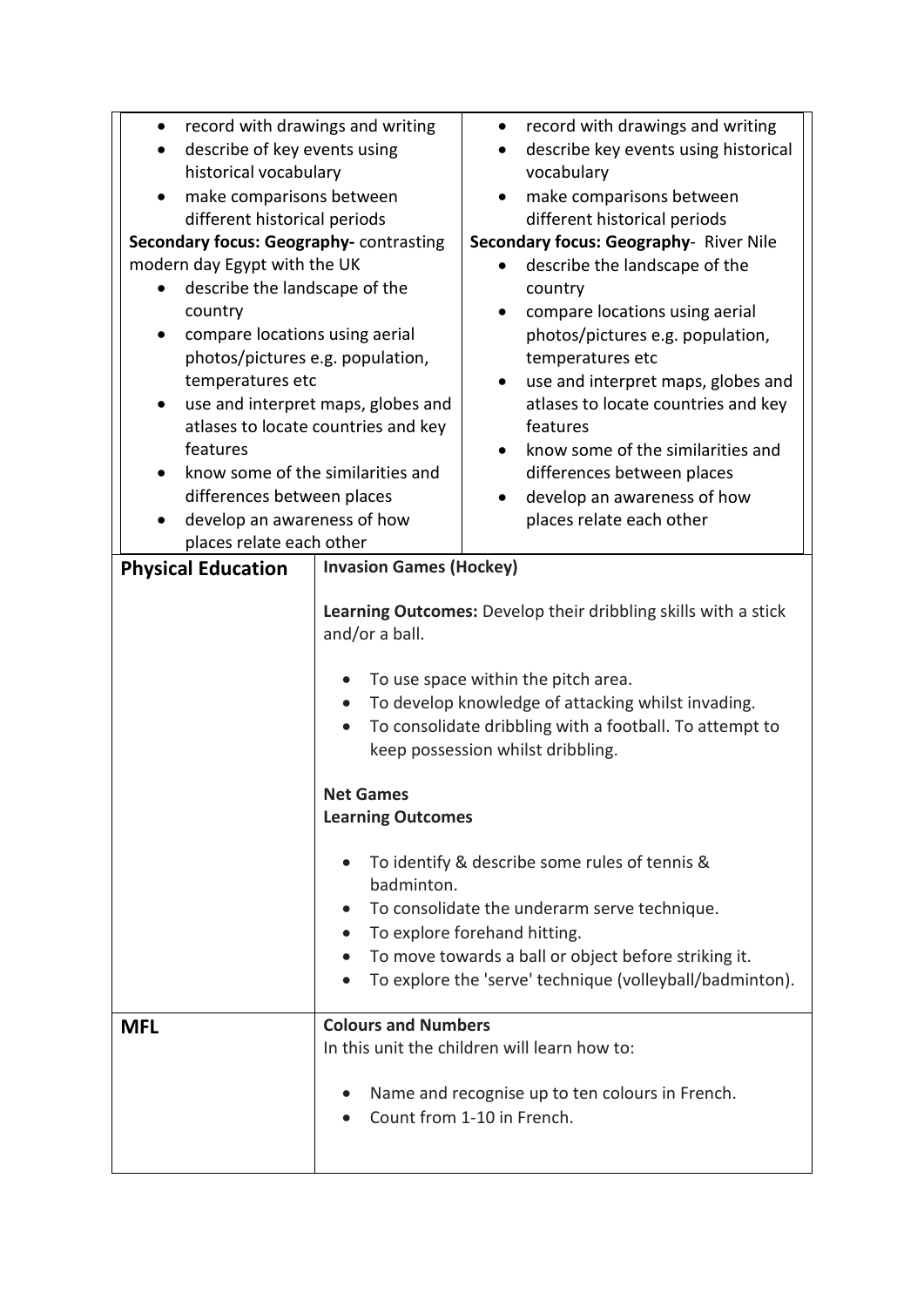| record with drawings and writing<br>describe of key events using<br>historical vocabulary<br>make comparisons between<br>different historical periods<br>Secondary focus: Geography- contrasting<br>modern day Egypt with the UK<br>describe the landscape of the<br>country<br>compare locations using aerial<br>photos/pictures e.g. population,<br>temperatures etc<br>use and interpret maps, globes and<br>$\bullet$<br>atlases to locate countries and key<br>features<br>know some of the similarities and |                                                                | record with drawings and writing<br>$\bullet$<br>describe key events using historical<br>vocabulary<br>make comparisons between<br>different historical periods<br>Secondary focus: Geography- River Nile<br>describe the landscape of the<br>country<br>compare locations using aerial<br>٠<br>photos/pictures e.g. population,<br>temperatures etc<br>use and interpret maps, globes and<br>$\bullet$<br>atlases to locate countries and key<br>features<br>know some of the similarities and<br>$\bullet$<br>differences between places<br>develop an awareness of how |
|-------------------------------------------------------------------------------------------------------------------------------------------------------------------------------------------------------------------------------------------------------------------------------------------------------------------------------------------------------------------------------------------------------------------------------------------------------------------------------------------------------------------|----------------------------------------------------------------|---------------------------------------------------------------------------------------------------------------------------------------------------------------------------------------------------------------------------------------------------------------------------------------------------------------------------------------------------------------------------------------------------------------------------------------------------------------------------------------------------------------------------------------------------------------------------|
| differences between places<br>develop an awareness of how                                                                                                                                                                                                                                                                                                                                                                                                                                                         |                                                                | places relate each other                                                                                                                                                                                                                                                                                                                                                                                                                                                                                                                                                  |
| places relate each other<br><b>Physical Education</b>                                                                                                                                                                                                                                                                                                                                                                                                                                                             | <b>Invasion Games (Hockey)</b>                                 |                                                                                                                                                                                                                                                                                                                                                                                                                                                                                                                                                                           |
|                                                                                                                                                                                                                                                                                                                                                                                                                                                                                                                   | and/or a ball.<br><b>Net Games</b><br><b>Learning Outcomes</b> | Learning Outcomes: Develop their dribbling skills with a stick<br>To use space within the pitch area.<br>To develop knowledge of attacking whilst invading.<br>To consolidate dribbling with a football. To attempt to<br>keep possession whilst dribbling.                                                                                                                                                                                                                                                                                                               |
| To identify & describe some rules of tennis &<br>badminton.<br>To consolidate the underarm serve technique.<br>To explore forehand hitting.<br>To move towards a ball or object before striking it.<br>To explore the 'serve' technique (volleyball/badminton).                                                                                                                                                                                                                                                   |                                                                |                                                                                                                                                                                                                                                                                                                                                                                                                                                                                                                                                                           |
| <b>MFL</b>                                                                                                                                                                                                                                                                                                                                                                                                                                                                                                        | <b>Colours and Numbers</b>                                     | In this unit the children will learn how to:<br>Name and recognise up to ten colours in French.<br>Count from 1-10 in French.                                                                                                                                                                                                                                                                                                                                                                                                                                             |